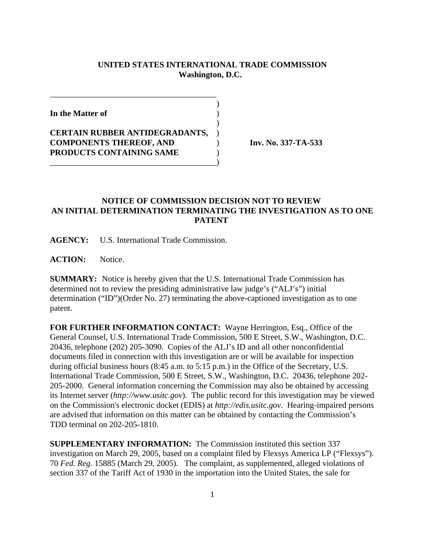## **UNITED STATES INTERNATIONAL TRADE COMMISSION Washington, D.C.**

 $\overline{\phantom{a}}$ 

 $\overline{\phantom{a}}$ 

**In the Matter of** )

**CERTAIN RUBBER ANTIDEGRADANTS,** ) **COMPONENTS THEREOF, AND** ) **Inv. No. 337-TA-533 PRODUCTS CONTAINING SAME** )

\_\_\_\_\_\_\_\_\_\_\_\_\_\_\_\_\_\_\_\_\_\_\_\_\_\_\_\_\_\_\_\_\_\_\_\_\_\_\_\_)

\_\_\_\_\_\_\_\_\_\_\_\_\_\_\_\_\_\_\_\_\_\_\_\_\_\_\_\_\_\_\_\_\_\_\_\_\_\_\_\_

## **NOTICE OF COMMISSION DECISION NOT TO REVIEW AN INITIAL DETERMINATION TERMINATING THE INVESTIGATION AS TO ONE PATENT**

**AGENCY:** U.S. International Trade Commission.

**ACTION:** Notice.

**SUMMARY:** Notice is hereby given that the U.S. International Trade Commission has determined not to review the presiding administrative law judge's ("ALJ's") initial determination ("ID")(Order No. 27) terminating the above-captioned investigation as to one patent.

**FOR FURTHER INFORMATION CONTACT:** Wayne Herrington, Esq., Office of the General Counsel, U.S. International Trade Commission, 500 E Street, S.W., Washington, D.C. 20436, telephone (202) 205-3090. Copies of the ALJ's ID and all other nonconfidential documents filed in connection with this investigation are or will be available for inspection during official business hours (8:45 a.m. to 5:15 p.m.) in the Office of the Secretary, U.S. International Trade Commission, 500 E Street, S.W., Washington, D.C. 20436, telephone 202- 205-2000. General information concerning the Commission may also be obtained by accessing its Internet server (*http://www.usitc.gov*). The public record for this investigation may be viewed on the Commission's electronic docket (EDIS) at *http://edis.usitc.gov*. Hearing-impaired persons are advised that information on this matter can be obtained by contacting the Commission's TDD terminal on 202-205-1810.

**SUPPLEMENTARY INFORMATION:** The Commission instituted this section 337 investigation on March 29, 2005, based on a complaint filed by Flexsys America LP ("Flexsys"). 70 *Fed. Reg*. 15885 (March 29, 2005). The complaint, as supplemented, alleged violations of section 337 of the Tariff Act of 1930 in the importation into the United States, the sale for